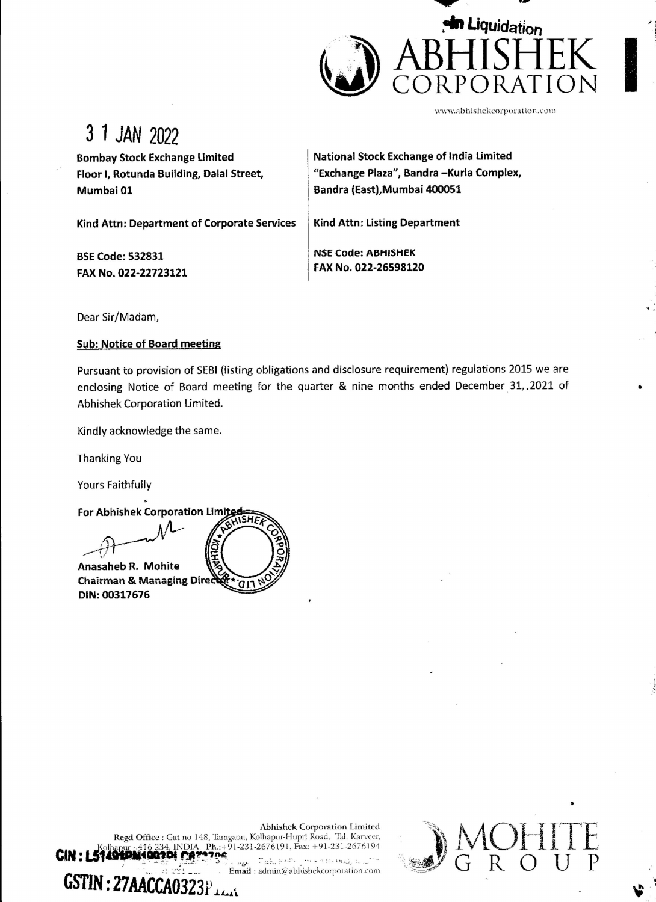

www.abhishekcorporation.com

WOHITE

 $U$ 

**V** 

3 1 JAN 2022

Bombay Stock Exchange Limited Floor |, Rotunda Building, Dalal Street, Mumbai 01

National Stock Exchange of India Limited "Exchange Plaza", Bandra —Kurla Complex, Bandra (East), Mumbai 400051

Kind Attn: Department of Corporate Services

BSE Code: 532831 FAX No. 022-22723121 Kind Attn: Listing Department

NSE Code: ABHISHEK FAX No. 022-26598120

Dear Sir/Madam,

## Sub: Notice of Board meeting

Pursuant to provision of SEBI (listing obligations and disclosure requirement) regulations 2015 we are enclosing Notice of Board meeting for the quarter & nine months ended December 31,.2021 of Abhishek Corporation Limited.

 $\mathcal{L}$  and the set of the set of the set of the set of the set of the set of the set of the set of the set of the set of the set of the set of the set of the set of the set of the set of the set of the set of the set of

Kindly acknowledge the same.

Thanking You

Yours Faithfully

 $\lim_{x \to 0}$ For Abhishek Corporation Limited **COLLEGE** Anasaheb R. Mohite Chairman & Managing Direct DIN: 00317676

Abhishek Corporation Limited<br>
Solhapur - 416 234, INDIA, Ph.:+91-231-2676191, Fax: +91-231-2676194<br>
Solhapur - 416 234, INDIA, Ph.:+91-231-2676191, Fax: +91-231-2676194<br>
Email : admin@ abhishekcorporation.com<br>
GSTIN : 27AA Abhishek Corporation Limited Regd Office : Gat no 148, Tamgaon, Kolhapur-Hupri Road, Tal. Karveer,  $CM: L5140^{Kolhapur}.416234, INDIA, Ph.:+91-231-2676191, Fax: +91-231-2676194$